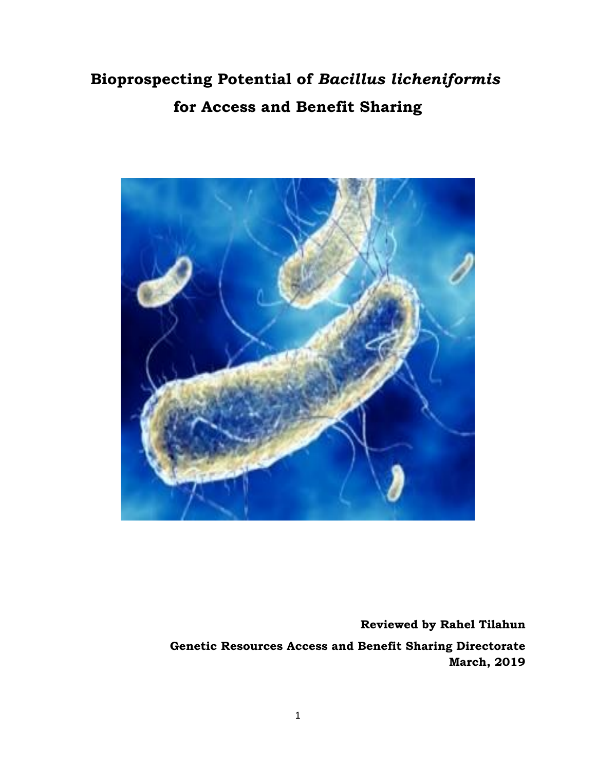# **Bioprospecting Potential of** *Bacillus licheniformis* **for Access and Benefit Sharing**



**Reviewed by Rahel Tilahun**

**Genetic Resources Access and Benefit Sharing Directorate March, 2019**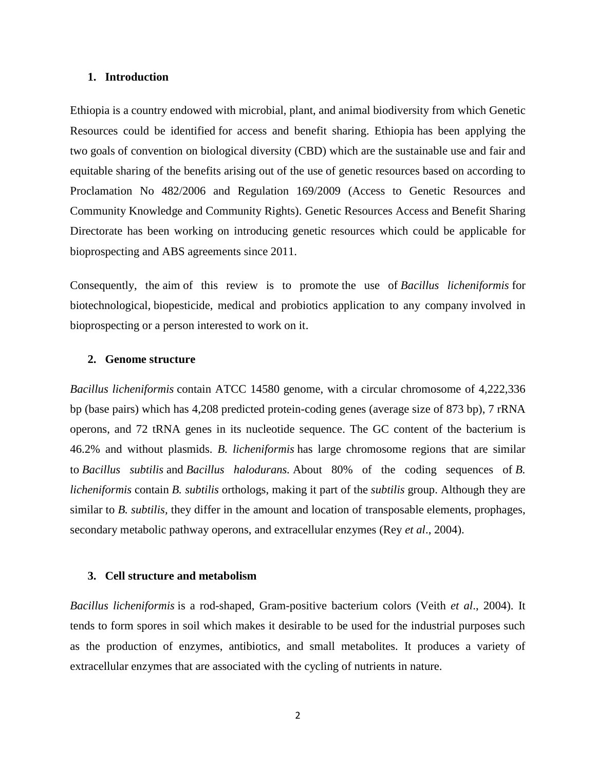#### **1. Introduction**

Ethiopia is a country endowed with microbial, plant, and animal biodiversity from which Genetic Resources could be identified for access and benefit sharing. Ethiopia has been applying the two goals of convention on biological diversity (CBD) which are the sustainable use and fair and equitable sharing of the benefits arising out of the use of genetic resources based on according to Proclamation No 482/2006 and Regulation 169/2009 (Access to Genetic Resources and Community Knowledge and Community Rights). Genetic Resources Access and Benefit Sharing Directorate has been working on introducing genetic resources which could be applicable for bioprospecting and ABS agreements since 2011.

Consequently, the aim of this review is to promote the use of *Bacillus licheniformis* for biotechnological, biopesticide, medical and probiotics application to any company involved in bioprospecting or a person interested to work on it.

#### **2. Genome structure**

*Bacillus licheniformis* contain ATCC 14580 genome, with a circular chromosome of 4,222,336 bp (base pairs) which has 4,208 predicted protein-coding genes (average size of 873 bp), 7 rRNA operons, and 72 tRNA genes in its nucleotide sequence. The GC content of the bacterium is 46.2% and without plasmids. *B. licheniformis* has large chromosome regions that are similar to *Bacillus subtilis* and *Bacillus halodurans.* About 80% of the coding sequences of *B. licheniformis* contain *B. subtilis* orthologs, making it part of the *subtilis* group. Although they are similar to *B. subtilis,* they differ in the amount and location of transposable elements, prophages, secondary metabolic pathway operons, and extracellular enzymes (Rey *et al*., 2004).

### **3. Cell structure and metabolism**

*Bacillus licheniformis* is a rod-shaped, Gram-positive bacterium colors (Veith *et al*., 2004). It tends to form spores in soil which makes it desirable to be used for the industrial purposes such as the production of enzymes, antibiotics, and small metabolites. It produces a variety of extracellular enzymes that are associated with the cycling of nutrients in nature.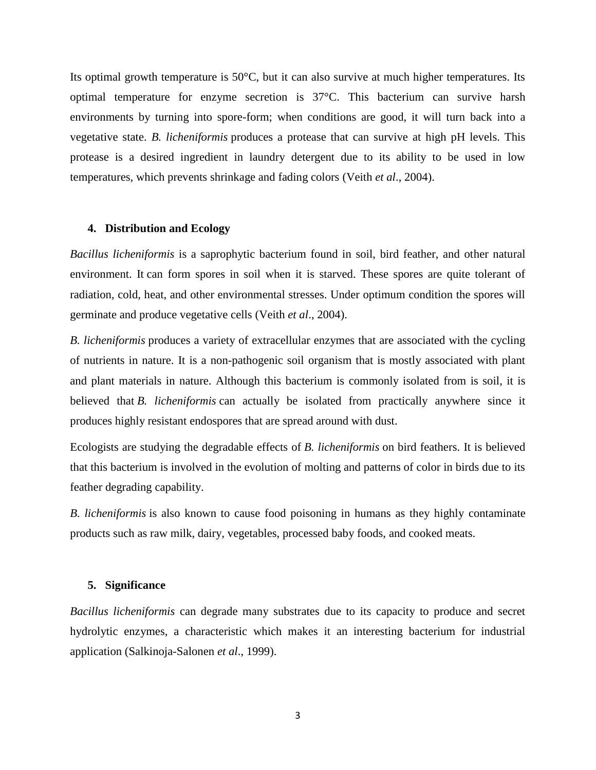Its optimal growth temperature is 50°C, but it can also survive at much higher temperatures. Its optimal temperature for enzyme secretion is 37°C. This bacterium can survive harsh environments by turning into spore-form; when conditions are good, it will turn back into a vegetative state. *B. licheniformis* produces a protease that can survive at high pH levels. This protease is a desired ingredient in laundry detergent due to its ability to be used in low temperatures, which prevents shrinkage and fading colors (Veith *et al*., 2004).

#### **4. Distribution and Ecology**

*Bacillus licheniformis* is a saprophytic bacterium found in soil, bird feather, and other natural environment. It can form spores in soil when it is starved. These spores are quite tolerant of radiation, cold, heat, and other environmental stresses. Under optimum condition the spores will germinate and produce vegetative cells (Veith *et al*., 2004).

*B. licheniformis* produces a variety of extracellular enzymes that are associated with the cycling of nutrients in nature. It is a non-pathogenic soil organism that is mostly associated with plant and plant materials in nature. Although this bacterium is commonly isolated from is soil, it is believed that *B. licheniformis* can actually be isolated from practically anywhere since it produces highly resistant endospores that are spread around with dust.

Ecologists are studying the degradable effects of *B. licheniformis* on bird feathers. It is believed that this bacterium is involved in the evolution of molting and patterns of color in birds due to its feather degrading capability.

*B. licheniformis* is also known to cause food poisoning in humans as they highly contaminate products such as raw milk, dairy, vegetables, processed baby foods, and cooked meats.

## **5. Significance**

*Bacillus licheniformis* can degrade many substrates due to its capacity to produce and secret hydrolytic enzymes, a characteristic which makes it an interesting bacterium for industrial application (Salkinoja-Salonen *et al*., 1999).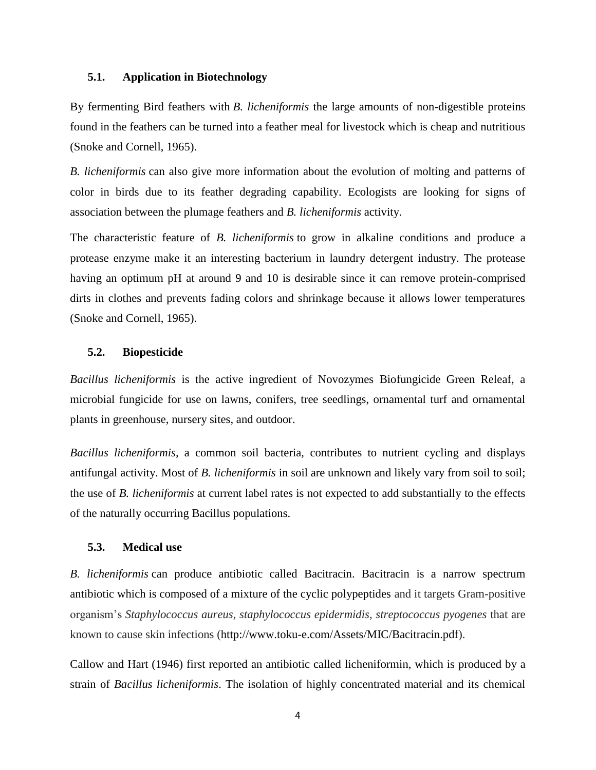# **5.1. Application in Biotechnology**

By fermenting Bird feathers with *B. licheniformis* the large amounts of non-digestible proteins found in the feathers can be turned into a feather meal for livestock which is cheap and nutritious (Snoke and Cornell, 1965).

*B. licheniformis* can also give more information about the evolution of molting and patterns of color in birds due to its feather degrading capability. Ecologists are looking for signs of association between the plumage feathers and *B. licheniformis* activity.

The characteristic feature of *B. licheniformis* to grow in alkaline conditions and produce a protease enzyme make it an interesting bacterium in laundry detergent industry. The protease having an optimum pH at around 9 and 10 is desirable since it can remove protein-comprised dirts in clothes and prevents fading colors and shrinkage because it allows lower temperatures (Snoke and Cornell, 1965).

# **5.2. Biopesticide**

*Bacillus licheniformis* is the active ingredient of Novozymes Biofungicide Green Releaf, a microbial fungicide for use on lawns, conifers, tree seedlings, ornamental turf and ornamental plants in greenhouse, nursery sites, and outdoor.

*Bacillus licheniformis,* a common soil bacteria, contributes to nutrient cycling and displays antifungal activity. Most of *B. licheniformis* in soil are unknown and likely vary from soil to soil; the use of *B. licheniformis* at current label rates is not expected to add substantially to the effects of the naturally occurring Bacillus populations.

# **5.3. Medical use**

*B. licheniformis* can produce antibiotic called Bacitracin. Bacitracin is a narrow spectrum antibiotic which is composed of a mixture of the cyclic polypeptides and it targets Gram-positive organism's *Staphylococcus aureus*, *staphylococcus epidermidis, streptococcus pyogenes* that are known to cause skin infections (http://www.toku-e.com/Assets/MIC/Bacitracin.pdf).

Callow and Hart (1946) first reported an antibiotic called licheniformin, which is produced by a strain of *Bacillus licheniformis*. The isolation of highly concentrated material and its chemical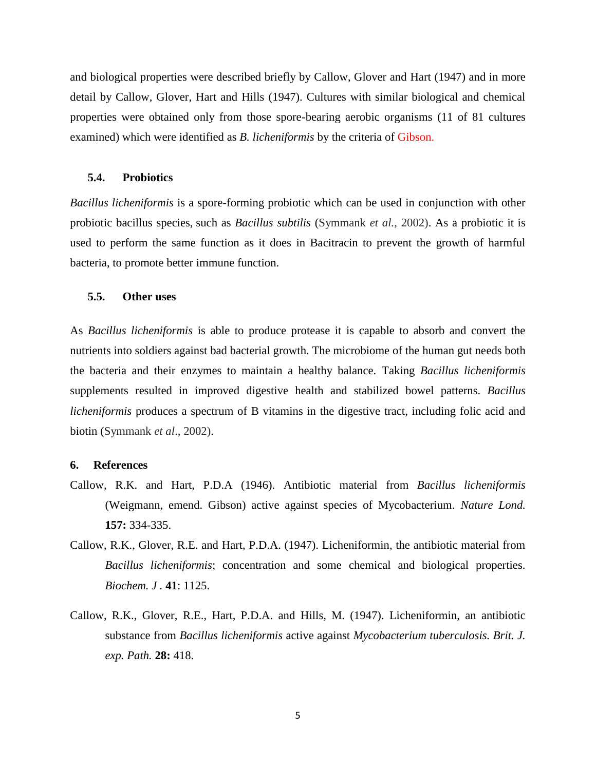and biological properties were described briefly by Callow, Glover and Hart (1947) and in more detail by Callow, Glover, Hart and Hills (1947). Cultures with similar biological and chemical properties were obtained only from those spore-bearing aerobic organisms (11 of 81 cultures examined) which were identified as *B. licheniformis* by the criteria of Gibson.

### **5.4. Probiotics**

*Bacillus licheniformis* is a spore-forming probiotic which can be used in conjunction with other probiotic bacillus species, such as *Bacillus subtilis* (Symmank *et al.*, 2002). As a probiotic it is used to perform the same function as it does in Bacitracin to prevent the growth of harmful bacteria, to promote better immune function.

# **5.5. Other uses**

As *Bacillus licheniformis* is able to produce protease it is capable to absorb and convert the nutrients into soldiers against bad bacterial growth. The microbiome of the human gut needs both the bacteria and their enzymes to maintain a healthy balance. Taking *Bacillus licheniformis* supplements resulted in improved digestive health and stabilized bowel patterns. *Bacillus licheniformis* produces a spectrum of B vitamins in the digestive tract, including folic acid and biotin (Symmank *et al*., 2002).

## **6. References**

- Callow, R.K. and Hart, P.D.A (1946). Antibiotic material from *Bacillus licheniformis*  (Weigmann, emend. Gibson) active against species of Mycobacterium. *Nature Lond.*  **157:** 334-335.
- Callow, R.K., Glover, R.E. and Hart, P.D.A. (1947). Licheniformin, the antibiotic material from *Bacillus licheniformis*; concentration and some chemical and biological properties. *Biochem. J .* **41**: 1125.
- Callow, R.K., Glover, R.E., Hart, P.D.A. and Hills, M. (1947). Licheniformin, an antibiotic substance from *Bacillus licheniformis* active against *Mycobacterium tuberculosis. Brit. J. exp. Path.* **28:** 418.